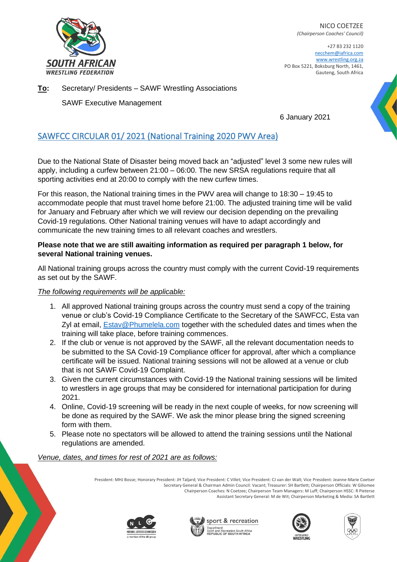

NICO COETZEE *(Chairperson Coaches' Council)*

+27 83 232 1120 necchem@iafrica.com [www.wrestling.org.za](http://www.wrestling.org.za/) PO Box 5221, Boksburg North, 1461, Gauteng, South Africa

**To:** Secretary/ Presidents – SAWF Wrestling Associations

SAWF Executive Management

6 January 2021

## SAWFCC CIRCULAR 01/ 2021 (National Training 2020 PWV Area)

Due to the National State of Disaster being moved back an "adjusted" level 3 some new rules will apply, including a curfew between 21:00 – 06:00. The new SRSA regulations require that all sporting activities end at 20:00 to comply with the new curfew times.

For this reason, the National training times in the PWV area will change to 18:30 – 19:45 to accommodate people that must travel home before 21:00. The adjusted training time will be valid for January and February after which we will review our decision depending on the prevailing Covid-19 regulations. Other National training venues will have to adapt accordingly and communicate the new training times to all relevant coaches and wrestlers.

## **Please note that we are still awaiting information as required per paragraph 1 below, for several National training venues.**

All National training groups across the country must comply with the current Covid-19 requirements as set out by the SAWF.

## *The following requirements will be applicable:*

- 1. All approved National training groups across the country must send a copy of the training venue or club's Covid-19 Compliance Certificate to the Secretary of the SAWFCC, Esta van Zyl at email, **Estav@Phumelela.com** together with the scheduled dates and times when the training will take place, before training commences.
- 2. If the club or venue is not approved by the SAWF, all the relevant documentation needs to be submitted to the SA Covid-19 Compliance officer for approval, after which a compliance certificate will be issued. National training sessions will not be allowed at a venue or club that is not SAWF Covid-19 Complaint.
- 3. Given the current circumstances with Covid-19 the National training sessions will be limited to wrestlers in age groups that may be considered for international participation for during 2021.
- 4. Online, Covid-19 screening will be ready in the next couple of weeks, for now screening will be done as required by the SAWF. We ask the minor please bring the signed screening form with them.
- 5. Please note no spectators will be allowed to attend the training sessions until the National regulations are amended.

*Venue, dates, and times for rest of 2021 are as follows:*

President: MHJ Bosse; Honorary President: JH Taljard; Vice President: C Villet; Vice President: CJ van der Walt; Vice President: Jeanne-Marie Coetser Secretary General & Chairman Admin Council: Vacant; Treasurer: SH Bartlett; Chairperson Officials: W Giliomee Chairperson Coaches: N Coetzee; Chairperson Team Managers: M Luff; Chairperson HSSC: R Pieterse Assistant Secretary General: M de Wit; Chairperson Marketing & Media: SA Bartlett